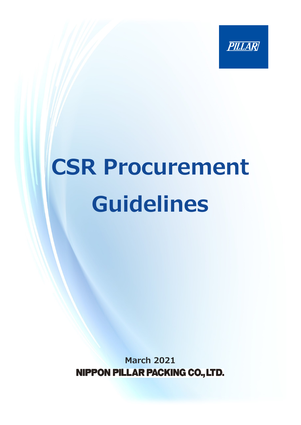

# **CSR Procurement Guidelines**

**March 2021**NIPPON PILLAR PACKING CO., LTD.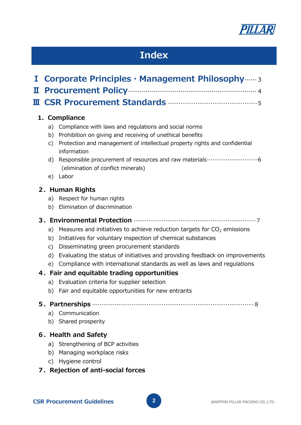

# **Index**

| I                                    | <b>Corporate Principles · Management Philosophy</b> 3                                                                                                                                                                                                                                                                                           |
|--------------------------------------|-------------------------------------------------------------------------------------------------------------------------------------------------------------------------------------------------------------------------------------------------------------------------------------------------------------------------------------------------|
| Щ                                    |                                                                                                                                                                                                                                                                                                                                                 |
| Ш                                    |                                                                                                                                                                                                                                                                                                                                                 |
|                                      | 1. Compliance                                                                                                                                                                                                                                                                                                                                   |
| a)<br>b)<br>C)<br>d)                 | Compliance with laws and regulations and social norms<br>Prohibition on giving and receiving of unethical benefits<br>Protection and management of intellectual property rights and confidential<br>information<br>(elimination of conflict minerals)                                                                                           |
| e)                                   | Labor                                                                                                                                                                                                                                                                                                                                           |
|                                      | 2. Human Rights                                                                                                                                                                                                                                                                                                                                 |
| a)                                   | Respect for human rights                                                                                                                                                                                                                                                                                                                        |
| b)                                   | Elimination of discrimination                                                                                                                                                                                                                                                                                                                   |
|                                      |                                                                                                                                                                                                                                                                                                                                                 |
| a)<br>b)<br>$\mathsf{C}$<br>d)<br>e) | Measures and initiatives to achieve reduction targets for $CO2$ emissions<br>Initiatives for voluntary inspection of chemical substances<br>Disseminating green procurement standards<br>Evaluating the status of initiatives and providing feedback on improvements<br>Compliance with international standards as well as laws and regulations |
|                                      | 4. Fair and equitable trading opportunities                                                                                                                                                                                                                                                                                                     |
| a)<br>b)                             | Evaluation criteria for supplier selection<br>Fair and equitable opportunities for new entrants                                                                                                                                                                                                                                                 |
| a)<br>b)                             | 5. Partnerships <b>communicates</b> and a series of a series of a series of a series of a series of a series of a series of a series of a series of a series of a series of a series of a series of a series of a series of a serie<br>Communication<br>Shared prosperity                                                                       |
| a)<br>b)<br>C)                       | 6. Health and Safety<br>Strengthening of BCP activities<br>Managing workplace risks<br>Hygiene control<br>7. Rejection of anti-social forces                                                                                                                                                                                                    |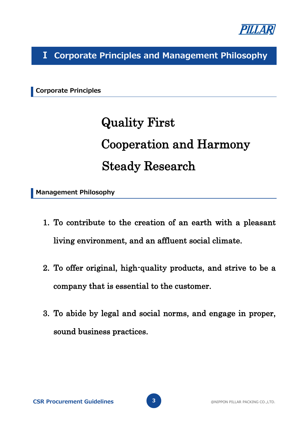

**Ⅰ Corporate Principles and Management Philosophy**

**Corporate Principles**

# Quality First Cooperation and Harmony Steady Research

**Management Philosophy**

- 1. To contribute to the creation of an earth with a pleasant living environment, and an affluent social climate.
- 2. To offer original, high-quality products, and strive to be a company that is essential to the customer.
- 3. To abide by legal and social norms, and engage in proper, sound business practices.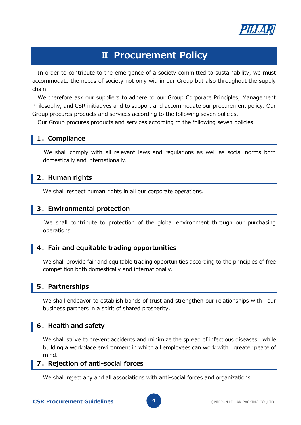

### **Ⅱ Procurement Policy**

In order to contribute to the emergence of a society committed to sustainability, we must accommodate the needs of society not only within our Group but also throughout the supply chain.

We therefore ask our suppliers to adhere to our Group Corporate Principles, Management Philosophy, and CSR initiatives and to support and accommodate our procurement policy. Our Group procures products and services according to the following seven policies.

Our Group procures products and services according to the following seven policies.

#### **1.Compliance**

 We shall comply with all relevant laws and regulations as well as social norms both domestically and internationally.

#### **2.Human rights**

We shall respect human rights in all our corporate operations.

#### **3.Environmental protection**

 We shall contribute to protection of the global environment through our purchasing operations.

#### **4.Fair and equitable trading opportunities**

 We shall provide fair and equitable trading opportunities according to the principles of free competition both domestically and internationally.

#### **5.Partnerships**

We shall endeavor to establish bonds of trust and strengthen our relationships with our business partners in a spirit of shared prosperity.

#### **6.Health and safety**

 We shall strive to prevent accidents and minimize the spread of infectious diseases while building a workplace environment in which all employees can work with greater peace of mind.

#### **7.Rejection of anti-social forces**

We shall reject any and all associations with anti-social forces and organizations.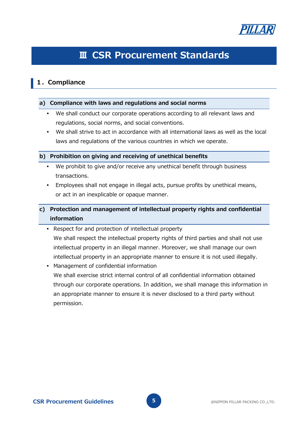

## **Ⅲ CSR Procurement Standards**

#### **1.Compliance**

#### **a) Compliance with laws and regulations and social norms**

- We shall conduct our corporate operations according to all relevant laws and regulations, social norms, and social conventions.
- We shall strive to act in accordance with all international laws as well as the local laws and regulations of the various countries in which we operate.

#### **b) Prohibition on giving and receiving of unethical benefits**

- We prohibit to give and/or receive any unethical benefit through business transactions.
- Employees shall not engage in illegal acts, pursue profits by unethical means, or act in an inexplicable or opaque manner.

#### **c) Protection and management of intellectual property rights and confidential information**

- Respect for and protection of intellectual property We shall respect the intellectual property rights of third parties and shall not use intellectual property in an illegal manner. Moreover, we shall manage our own intellectual property in an appropriate manner to ensure it is not used illegally.
- Management of confidential information We shall exercise strict internal control of all confidential information obtained through our corporate operations. In addition, we shall manage this information in an appropriate manner to ensure it is never disclosed to a third party without permission.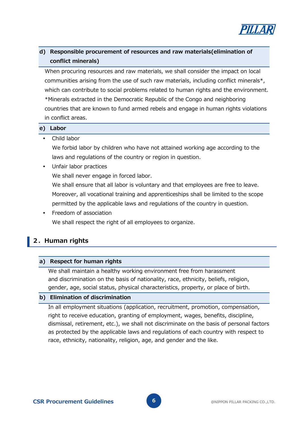

#### **d) Responsible procurement of resources and raw materials(elimination of conflict minerals)**

When procuring resources and raw materials, we shall consider the impact on local communities arising from the use of such raw materials, including conflict minerals\*, which can contribute to social problems related to human rights and the environment. \*Minerals extracted in the Democratic Republic of the Congo and neighboring countries that are known to fund armed rebels and engage in human rights violations in conflict areas.

#### **e) Labor**

#### Child labor

We forbid labor by children who have not attained working age according to the laws and regulations of the country or region in question.

Unfair labor practices

We shall never engage in forced labor.

We shall ensure that all labor is voluntary and that employees are free to leave. Moreover, all vocational training and apprenticeships shall be limited to the scope permitted by the applicable laws and regulations of the country in question.

 Freedom of association We shall respect the right of all employees to organize.

#### **2.Human rights**

#### **a) Respect for human rights**

We shall maintain a healthy working environment free from harassment and discrimination on the basis of nationality, race, ethnicity, beliefs, religion, gender, age, social status, physical characteristics, property, or place of birth.

#### **b) Elimination of discrimination**

In all employment situations (application, recruitment, promotion, compensation, right to receive education, granting of employment, wages, benefits, discipline, dismissal, retirement, etc.), we shall not discriminate on the basis of personal factors as protected by the applicable laws and regulations of each country with respect to race, ethnicity, nationality, religion, age, and gender and the like.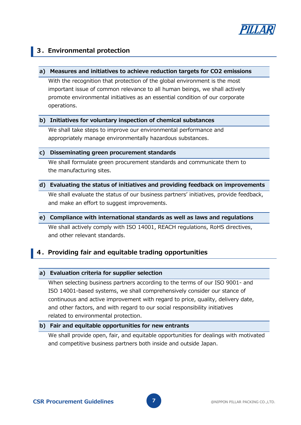

#### **3.Environmental protection**

#### **a) Measures and initiatives to achieve reduction targets for CO2 emissions**

With the recognition that protection of the global environment is the most important issue of common relevance to all human beings, we shall actively promote environmental initiatives as an essential condition of our corporate operations.

#### **b) Initiatives for voluntary inspection of chemical substances**

We shall take steps to improve our environmental performance and appropriately manage environmentally hazardous substances.

#### **c) Disseminating green procurement standards**

We shall formulate green procurement standards and communicate them to the manufacturing sites.

#### **d) Evaluating the status of initiatives and providing feedback on improvements**

We shall evaluate the status of our business partners' initiatives, provide feedback, and make an effort to suggest improvements.

#### **e) Compliance with international standards as well as laws and regulations**

We shall actively comply with ISO 14001, REACH regulations, RoHS directives, and other relevant standards.

#### **4.Providing fair and equitable trading opportunities**

#### **a) Evaluation criteria for supplier selection**

When selecting business partners according to the terms of our ISO 9001- and ISO 14001-based systems, we shall comprehensively consider our stance of continuous and active improvement with regard to price, quality, delivery date, and other factors, and with regard to our social responsibility initiatives related to environmental protection.

#### **b) Fair and equitable opportunities for new entrants**

We shall provide open, fair, and equitable opportunities for dealings with motivated and competitive business partners both inside and outside Japan.